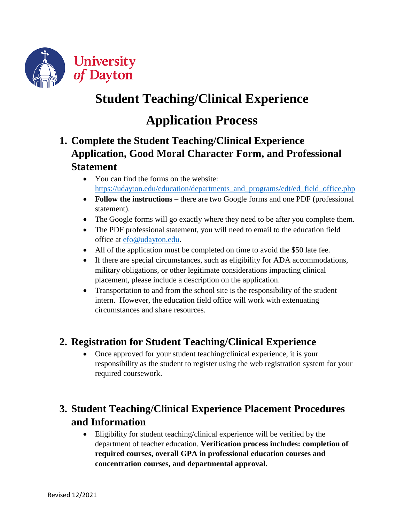

# **Student Teaching/Clinical Experience**

# **Application Process**

## **1. Complete the Student Teaching/Clinical Experience Application, Good Moral Character Form, and Professional Statement**

- You can find the forms on the website: [https://udayton.edu/education/departments\\_and\\_programs/edt/ed\\_field\\_office.php](https://udayton.edu/education/departments_and_programs/edt/ed_field_office.php)
- Follow the instructions there are two Google forms and one PDF (professional statement).
- The Google forms will go exactly where they need to be after you complete them.
- The PDF professional statement, you will need to email to the education field office at [efo@udayton.edu.](mailto:efo@udayton.edu)
- All of the application must be completed on time to avoid the \$50 late fee.
- If there are special circumstances, such as eligibility for ADA accommodations, military obligations, or other legitimate considerations impacting clinical placement, please include a description on the application.
- Transportation to and from the school site is the responsibility of the student intern. However, the education field office will work with extenuating circumstances and share resources.

#### **2. Registration for Student Teaching/Clinical Experience**

• Once approved for your student teaching/clinical experience, it is your responsibility as the student to register using the web registration system for your required coursework.

### **3. Student Teaching/Clinical Experience Placement Procedures and Information**

 Eligibility for student teaching/clinical experience will be verified by the department of teacher education. **Verification process includes: completion of required courses, overall GPA in professional education courses and concentration courses, and departmental approval.**